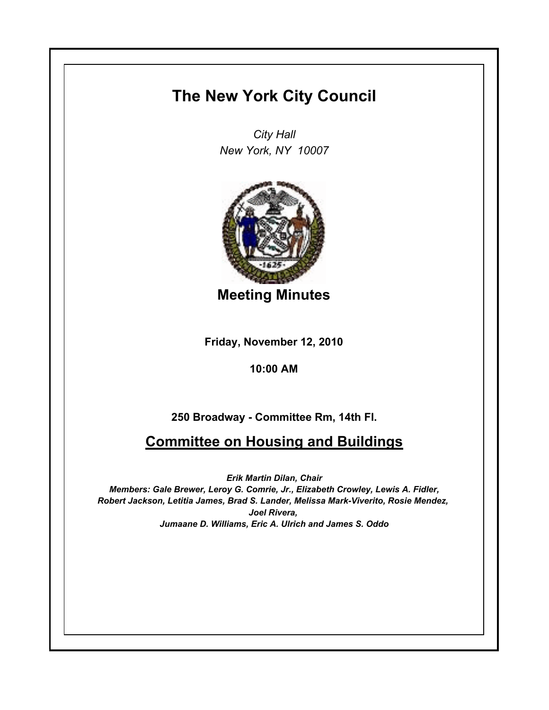## **The New York City Council**

*City Hall New York, NY 10007*



**Meeting Minutes**

**Friday, November 12, 2010**

## **10:00 AM**

## **250 Broadway - Committee Rm, 14th Fl.**

## **Committee on Housing and Buildings**

*Erik Martin Dilan, Chair Members: Gale Brewer, Leroy G. Comrie, Jr., Elizabeth Crowley, Lewis A. Fidler, Robert Jackson, Letitia James, Brad S. Lander, Melissa Mark-Viverito, Rosie Mendez, Joel Rivera, Jumaane D. Williams, Eric A. Ulrich and James S. Oddo*